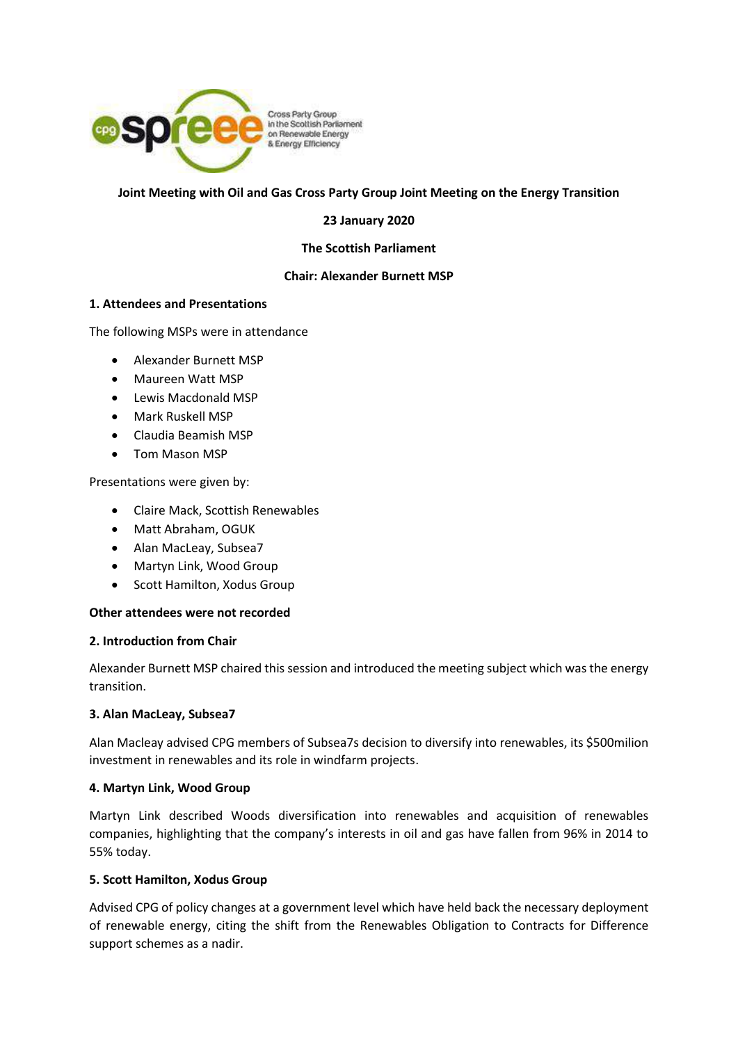

## **Joint Meeting with Oil and Gas Cross Party Group Joint Meeting on the Energy Transition**

## **23 January 2020**

### **The Scottish Parliament**

## **Chair: Alexander Burnett MSP**

## **1. Attendees and Presentations**

The following MSPs were in attendance

- Alexander Burnett MSP
- Maureen Watt MSP
- Lewis Macdonald MSP
- Mark Ruskell MSP
- Claudia Beamish MSP
- Tom Mason MSP

Presentations were given by:

- Claire Mack, Scottish Renewables
- Matt Abraham, OGUK
- Alan MacLeay, Subsea7
- Martyn Link, Wood Group
- Scott Hamilton, Xodus Group

## **Other attendees were not recorded**

#### **2. Introduction from Chair**

Alexander Burnett MSP chaired this session and introduced the meeting subject which was the energy transition.

## **3. Alan MacLeay, Subsea7**

Alan Macleay advised CPG members of Subsea7s decision to diversify into renewables, its \$500milion investment in renewables and its role in windfarm projects.

## **4. Martyn Link, Wood Group**

Martyn Link described Woods diversification into renewables and acquisition of renewables companies, highlighting that the company's interests in oil and gas have fallen from 96% in 2014 to 55% today.

## **5. Scott Hamilton, Xodus Group**

Advised CPG of policy changes at a government level which have held back the necessary deployment of renewable energy, citing the shift from the Renewables Obligation to Contracts for Difference support schemes as a nadir.